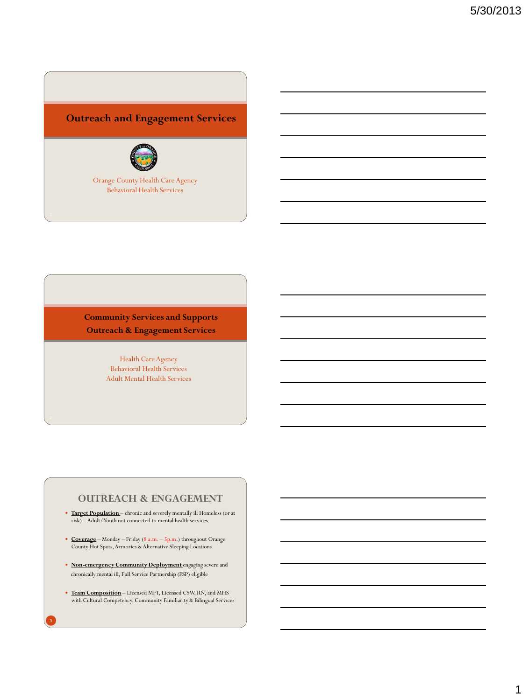# **Outreach and Engagement Services**



Orange County Health Care Agency Behavioral Health Services

**Community Services and Supports Outreach & Engagement Services**

> Health Care Agency Behavioral Health Services Adult Mental Health Services

## **OUTREACH & ENGAGEMENT**

- **Target Population** chronic and severely mentally ill Homeless (or at risk) – Adult/Youth not connected to mental health services.
- **Coverage** Monday Friday (8 a.m. 5p.m.) throughout Orange County Hot Spots, Armories & Alternative Sleeping Locations
- **Non-emergency Community Deployment** engaging severe and chronically mental ill, Full Service Partnership (FSP) eligible
- **Team Composition** Licensed MFT, Licensed CSW, RN, and MHS with Cultural Competency, Community Familiarity & Bilingual Services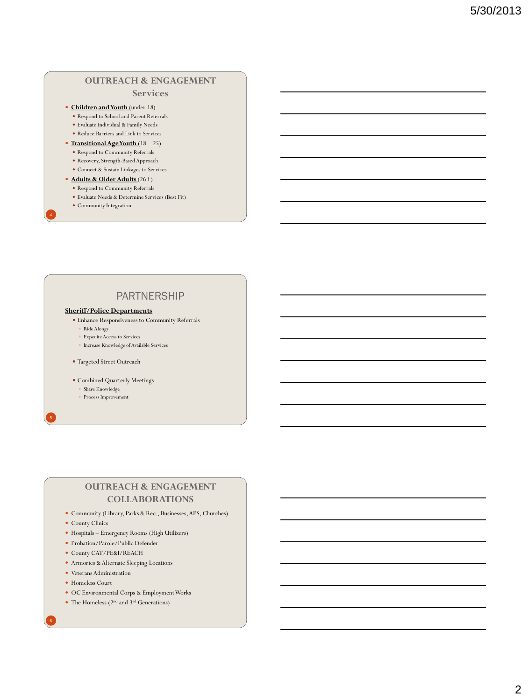# **OUTREACH & ENGAGEMENT**

#### **Services**

- **Children and Youth** (under 18)
	- Respond to School and Parent Referrals
	- Evaluate Individual & Family Needs
	- Reduce Barriers and Link to Services
- **Transitional Age Youth** (18 25)
	- Respond to Community Referrals
	- Recovery, Strength-Based Approach
	- Connect & Sustain Linkages to Services
- **Adults & Older Adults** (26+) Respond to Community Referrals
	- Evaluate Needs & Determine Services (Best Fit)
	- Community Integration

# PARTNERSHIP

#### **Sheriff/Police Departments**

- $\bullet$  Enhance Responsiveness to Community Referrals
- Ride Alongs
- Expedite Access to Services
- Increase Knowledge of Available Services
- Targeted Street Outreach
- Combined Quarterly Meetings
	- Share Knowledge
	- Process Improvement

## **OUTREACH & ENGAGEMENT COLLABORATIONS**

- Community (Library, Parks & Rec., Businesses, APS, Churches)
- County Clinics
- Hospitals Emergency Rooms (High Utilizers)
- Probation/Parole/Public Defender
- County CAT/PE&I/REACH
- Armories & Alternate Sleeping Locations
- Veterans Administration
- Homeless Court
- OC Environmental Corps & Employment Works
- The Homeless ( $2<sup>nd</sup>$  and  $3<sup>rd</sup>$  Generations)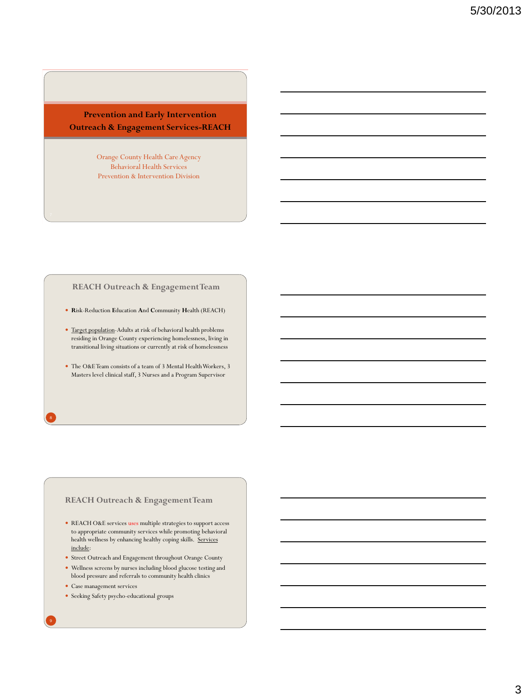## **Prevention and Early Intervention Outreach & Engagement Services-REACH**

Orange County Health Care Agency Behavioral Health Services Prevention & Intervention Division

#### **REACH Outreach & Engagement Team**

- **R**isk-Reduction **E**ducation **A**nd **C**ommunity **H**ealth (REACH)
- Target population-Adults at risk of behavioral health problems residing in Orange County experiencing homelessness, living in transitional living situations or currently at risk of homelessness
- The O&E Team consists of a team of 3 Mental Health Workers, 3 Masters level clinical staff, 3 Nurses and a Program Supervisor

### **REACH Outreach & Engagement Team**

- $\bullet~$  REACH O&E services uses multiple strategies to support access to appropriate community services while promoting behavioral health wellness by enhancing healthy coping skills. Services include:
- $\bullet\,$  Street Outreach and Engagement throughout Orange County
- Wellness screens by nurses including blood glucose testing and blood pressure and referrals to community health clinics
- Case management services
- $\bullet~$  Seeking Safety psycho-educational groups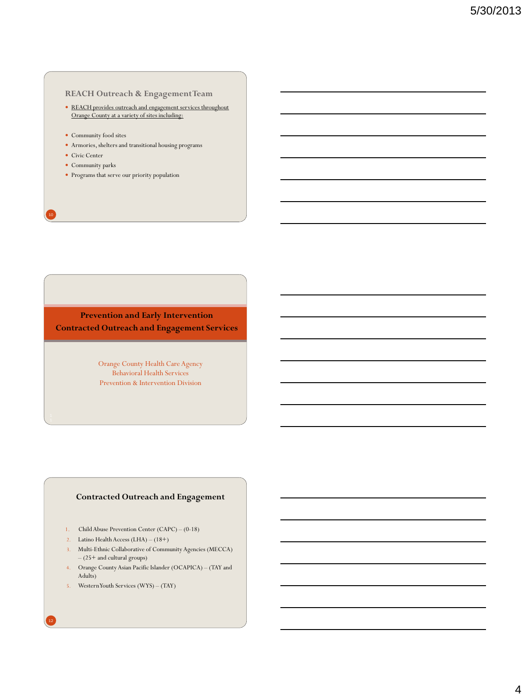### **REACH Outreach & Engagement Team**

- REACH provides outreach and engagement services throughout Orange County at a variety of sites including:
- Community food sites
- Armories, shelters and transitional housing programs
- Civic Center
- Community parks
- $\bullet~$  Programs that serve our priority population

**Prevention and Early Intervention Contracted Outreach and Engagement Services**

> Orange County Health Care Agency Behavioral Health Services Prevention & Intervention Division

### **Contracted Outreach and Engagement**

- 1. Child Abuse Prevention Center (CAPC) (0-18)
- 2. Latino Health Access (LHA) (18+)
- 3. Multi-Ethnic Collaborative of Community Agencies (MECCA) – (25+ and cultural groups)
- 4. Orange County Asian Pacific Islander (OCAPICA) (TAY and Adults)
- 5. Western Youth Services (WYS) (TAY)